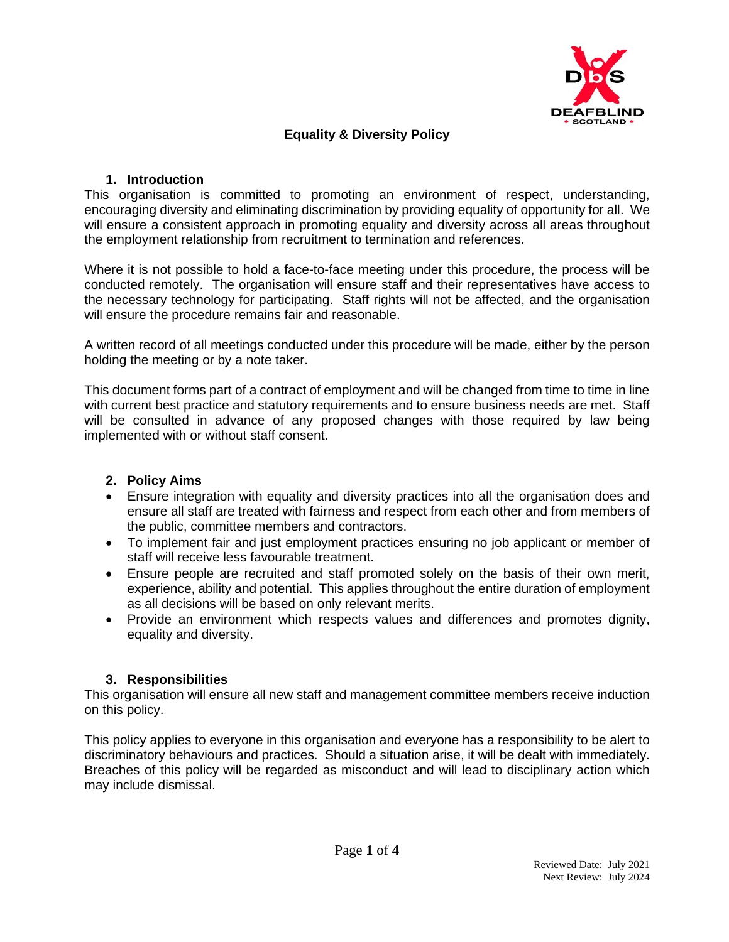

# **Equality & Diversity Policy**

### **1. Introduction**

This organisation is committed to promoting an environment of respect, understanding, encouraging diversity and eliminating discrimination by providing equality of opportunity for all. We will ensure a consistent approach in promoting equality and diversity across all areas throughout the employment relationship from recruitment to termination and references.

Where it is not possible to hold a face-to-face meeting under this procedure, the process will be conducted remotely. The organisation will ensure staff and their representatives have access to the necessary technology for participating. Staff rights will not be affected, and the organisation will ensure the procedure remains fair and reasonable.

A written record of all meetings conducted under this procedure will be made, either by the person holding the meeting or by a note taker.

This document forms part of a contract of employment and will be changed from time to time in line with current best practice and statutory requirements and to ensure business needs are met. Staff will be consulted in advance of any proposed changes with those required by law being implemented with or without staff consent.

## **2. Policy Aims**

- Ensure integration with equality and diversity practices into all the organisation does and ensure all staff are treated with fairness and respect from each other and from members of the public, committee members and contractors.
- To implement fair and just employment practices ensuring no job applicant or member of staff will receive less favourable treatment.
- Ensure people are recruited and staff promoted solely on the basis of their own merit, experience, ability and potential. This applies throughout the entire duration of employment as all decisions will be based on only relevant merits.
- Provide an environment which respects values and differences and promotes dignity, equality and diversity.

## **3. Responsibilities**

This organisation will ensure all new staff and management committee members receive induction on this policy.

This policy applies to everyone in this organisation and everyone has a responsibility to be alert to discriminatory behaviours and practices. Should a situation arise, it will be dealt with immediately. Breaches of this policy will be regarded as misconduct and will lead to disciplinary action which may include dismissal.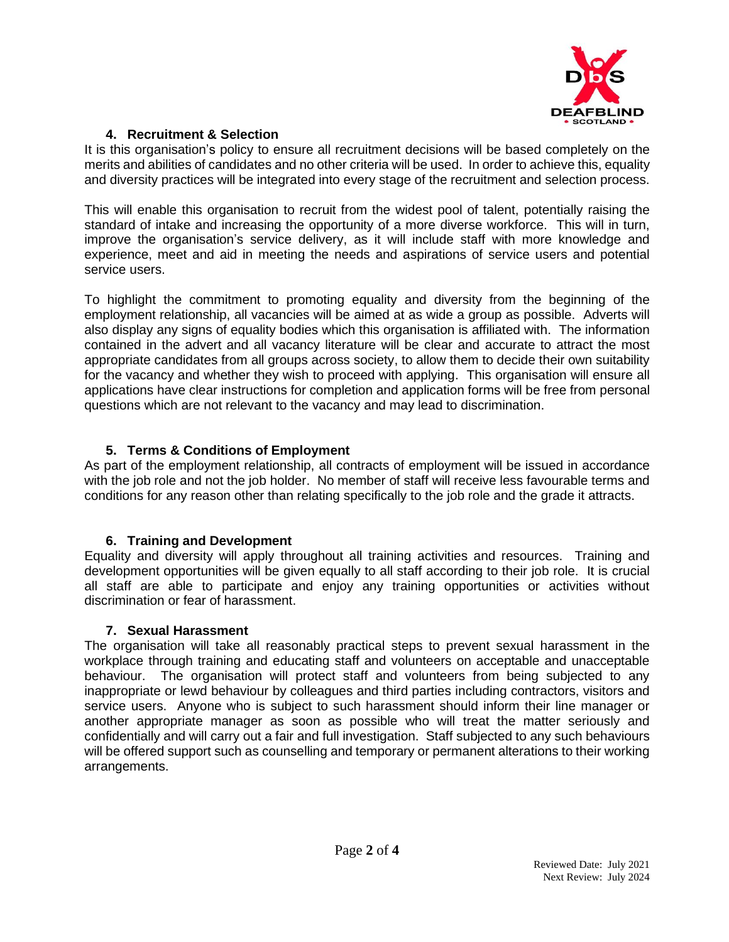

# **4. Recruitment & Selection**

It is this organisation's policy to ensure all recruitment decisions will be based completely on the merits and abilities of candidates and no other criteria will be used. In order to achieve this, equality and diversity practices will be integrated into every stage of the recruitment and selection process.

This will enable this organisation to recruit from the widest pool of talent, potentially raising the standard of intake and increasing the opportunity of a more diverse workforce. This will in turn, improve the organisation's service delivery, as it will include staff with more knowledge and experience, meet and aid in meeting the needs and aspirations of service users and potential service users.

To highlight the commitment to promoting equality and diversity from the beginning of the employment relationship, all vacancies will be aimed at as wide a group as possible. Adverts will also display any signs of equality bodies which this organisation is affiliated with. The information contained in the advert and all vacancy literature will be clear and accurate to attract the most appropriate candidates from all groups across society, to allow them to decide their own suitability for the vacancy and whether they wish to proceed with applying. This organisation will ensure all applications have clear instructions for completion and application forms will be free from personal questions which are not relevant to the vacancy and may lead to discrimination.

# **5. Terms & Conditions of Employment**

As part of the employment relationship, all contracts of employment will be issued in accordance with the job role and not the job holder. No member of staff will receive less favourable terms and conditions for any reason other than relating specifically to the job role and the grade it attracts.

## **6. Training and Development**

Equality and diversity will apply throughout all training activities and resources. Training and development opportunities will be given equally to all staff according to their job role. It is crucial all staff are able to participate and enjoy any training opportunities or activities without discrimination or fear of harassment.

## **7. Sexual Harassment**

The organisation will take all reasonably practical steps to prevent sexual harassment in the workplace through training and educating staff and volunteers on acceptable and unacceptable behaviour. The organisation will protect staff and volunteers from being subjected to any inappropriate or lewd behaviour by colleagues and third parties including contractors, visitors and service users. Anyone who is subject to such harassment should inform their line manager or another appropriate manager as soon as possible who will treat the matter seriously and confidentially and will carry out a fair and full investigation. Staff subjected to any such behaviours will be offered support such as counselling and temporary or permanent alterations to their working arrangements.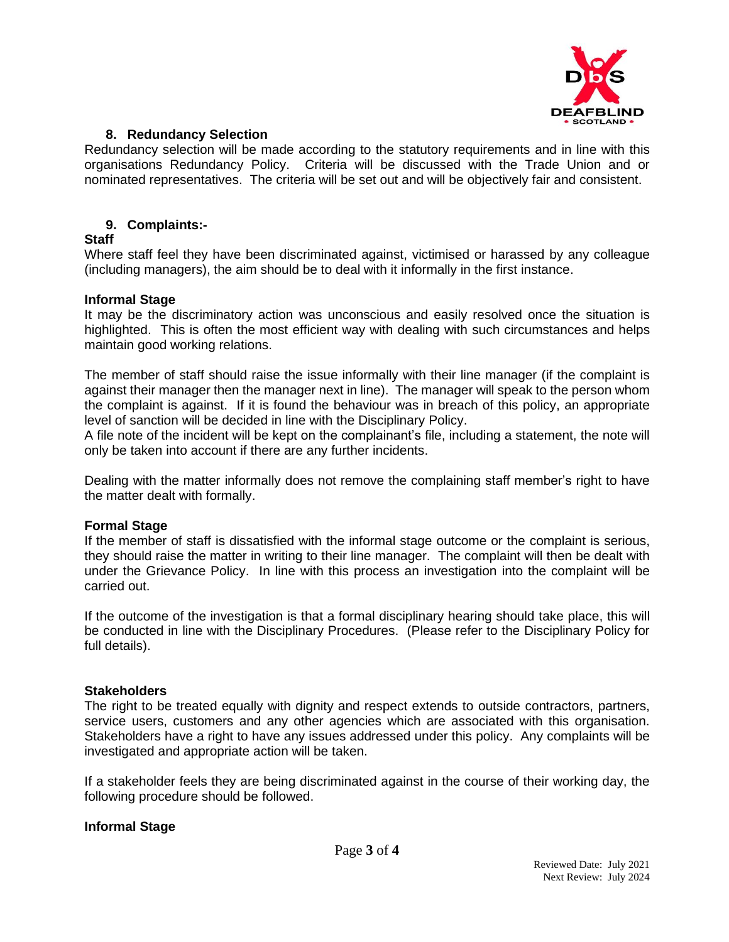

## **8. Redundancy Selection**

Redundancy selection will be made according to the statutory requirements and in line with this organisations Redundancy Policy. Criteria will be discussed with the Trade Union and or nominated representatives. The criteria will be set out and will be objectively fair and consistent.

### **9. Complaints:-**

## **Staff**

Where staff feel they have been discriminated against, victimised or harassed by any colleague (including managers), the aim should be to deal with it informally in the first instance.

### **Informal Stage**

It may be the discriminatory action was unconscious and easily resolved once the situation is highlighted. This is often the most efficient way with dealing with such circumstances and helps maintain good working relations.

The member of staff should raise the issue informally with their line manager (if the complaint is against their manager then the manager next in line). The manager will speak to the person whom the complaint is against. If it is found the behaviour was in breach of this policy, an appropriate level of sanction will be decided in line with the Disciplinary Policy.

A file note of the incident will be kept on the complainant's file, including a statement, the note will only be taken into account if there are any further incidents.

Dealing with the matter informally does not remove the complaining staff member's right to have the matter dealt with formally.

### **Formal Stage**

If the member of staff is dissatisfied with the informal stage outcome or the complaint is serious, they should raise the matter in writing to their line manager. The complaint will then be dealt with under the Grievance Policy. In line with this process an investigation into the complaint will be carried out.

If the outcome of the investigation is that a formal disciplinary hearing should take place, this will be conducted in line with the Disciplinary Procedures. (Please refer to the Disciplinary Policy for full details).

### **Stakeholders**

The right to be treated equally with dignity and respect extends to outside contractors, partners, service users, customers and any other agencies which are associated with this organisation. Stakeholders have a right to have any issues addressed under this policy. Any complaints will be investigated and appropriate action will be taken.

If a stakeholder feels they are being discriminated against in the course of their working day, the following procedure should be followed.

### **Informal Stage**